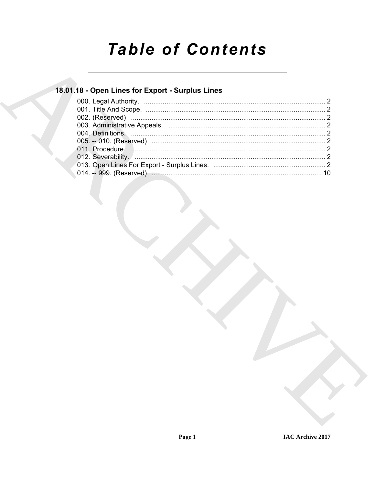# **Table of Contents**

### 18.01.18 - Open Lines for Export - Surplus Lines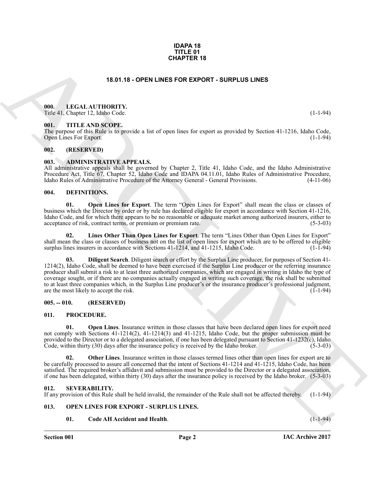#### **IDAPA 18 TITLE 01 CHAPTER 18**

#### **18.01.18 - OPEN LINES FOR EXPORT - SURPLUS LINES**

#### <span id="page-1-1"></span><span id="page-1-0"></span>**000. LEGAL AUTHORITY.**

Title 41, Chapter 12, Idaho Code. (1-1-94)

#### <span id="page-1-2"></span>**001. TITLE AND SCOPE.**

The purpose of this Rule is to provide a list of open lines for export as provided by Section 41-1216, Idaho Code, Open Lines For Export.

#### <span id="page-1-3"></span>**002. (RESERVED)**

#### <span id="page-1-4"></span>**003. ADMINISTRATIVE APPEALS.**

All administrative appeals shall be governed by Chapter 2, Title 41, Idaho Code, and the Idaho Administrative Procedure Act, Title 67, Chapter 52, Idaho Code and IDAPA 04.11.01, Idaho Rules of Administrative Procedure, Idaho Rules of Administrative Procedure of the Attorney General - General Provisions. (4-11-06)

#### <span id="page-1-10"></span><span id="page-1-5"></span>**004. DEFINITIONS.**

<span id="page-1-14"></span>**01. Open Lines for Export**. The term "Open Lines for Export" shall mean the class or classes of business which the Director by order or by rule has declared eligible for export in accordance with Section 41-1216, Idaho Code, and for which there appears to be no reasonable or adequate market among authorized insurers, either to acceptance of risk, contract terms, or premium or premium rate. (5-3-03) acceptance of risk, contract terms, or premium or premium rate.

<span id="page-1-12"></span><span id="page-1-11"></span>**02. Lines Other Than Open Lines for Export**. The term "Lines Other than Open Lines for Export" shall mean the class or classes of business not on the list of open lines for export which are to be offered to eligible surplus lines insurers in accordance with Sections 41-1214, and 41-1215, Idaho Code. (1-1-94) surplus lines insurers in accordance with Sections 41-1214, and 41-1215, Idaho Code.

**EXAMPLER 18**<br>
18.01.18 - OPEN LINES FOR EXPORT - SURPLUS LINES<br>
19.18 - LEGAL AUTIDONITY.<br>
19.18 - LEGAL AUTIDONITY.<br>
19.18 - LEGAL AUTIDONITY.<br>
19.18 - LEGAL AUTIDONITY.<br>
19.18 - LEGAL AUTIDONITY.<br>
19.18 - LEGAL AUTIDON **03. Diligent Search**. Diligent search or effort by the Surplus Line producer, for purposes of Section 41- 1214(2), Idaho Code, shall be deemed to have been exercised if the Surplus Line producer or the referring insurance producer shall submit a risk to at least three authorized companies, which are engaged in writing in Idaho the type of coverage sought, or if there are no companies actually engaged in writing such coverage, the risk shall be submitted to at least three companies which, in the Surplus Line producer's or the insurance producer's professional judgment, are the most likely to accept the risk. (1-1-94)

#### <span id="page-1-6"></span>**005. -- 010. (RESERVED)**

#### <span id="page-1-18"></span><span id="page-1-7"></span>**011. PROCEDURE.**

<span id="page-1-13"></span>**01. Open Lines**. Insurance written in those classes that have been declared open lines for export need not comply with Sections 41-1214(2), 41-1214(3) and 41-1215, Idaho Code, but the proper submission must be provided to the Director or to a delegated association, if one has been delegated pursuant to Section 41-1232(c), Idaho Code, within thirty (30) days after the insurance policy is received by the Idaho broker. (5-3-03)

<span id="page-1-15"></span>**Other Lines**. Insurance written in those classes termed lines other than open lines for export are to be carefully processed to assure all concerned that the intent of Sections 41-1214 and  $\overline{41}$ -1215, Idaho Code, has been satisfied. The required broker's affidavit and submission must be provided to the Director or a delegated association, if one has been delegated, within thirty (30) days after the insurance policy is received by the Idaho broker. (5-3-03)

#### <span id="page-1-8"></span>**012. SEVERABILITY.**

If any provision of this Rule shall be held invalid, the remainder of the Rule shall not be affected thereby. (1-1-94)

#### <span id="page-1-9"></span>**013. OPEN LINES FOR EXPORT - SURPLUS LINES.**

#### <span id="page-1-17"></span><span id="page-1-16"></span>**01. Code AH Accident and Health**. (1-1-94)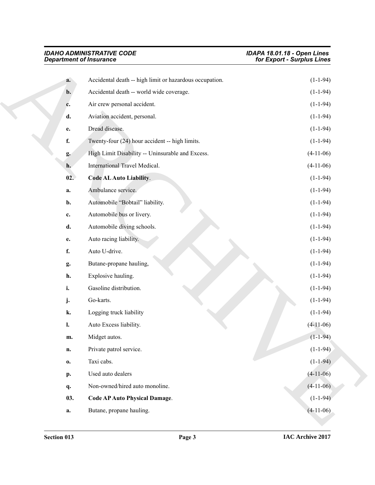<span id="page-2-1"></span><span id="page-2-0"></span>

| <b>IDAHO ADMINISTRATIVE CODE</b><br><b>Department of Insurance</b> |                                                         | IDAPA 18.01.18 - Open Lines<br>for Export - Surplus Lines |
|--------------------------------------------------------------------|---------------------------------------------------------|-----------------------------------------------------------|
| a.                                                                 | Accidental death -- high limit or hazardous occupation. | $(1-1-94)$                                                |
| b.                                                                 | Accidental death -- world wide coverage.                | $(1-1-94)$                                                |
| c.                                                                 | Air crew personal accident.                             | $(1-1-94)$                                                |
| d.                                                                 | Aviation accident, personal.                            | $(1-1-94)$                                                |
| e.                                                                 | Dread disease.                                          | $(1-1-94)$                                                |
| f.                                                                 | Twenty-four (24) hour accident -- high limits.          | $(1-1-94)$                                                |
| g.                                                                 | High Limit Disability -- Uninsurable and Excess.        | $(4-11-06)$                                               |
| h.                                                                 | International Travel Medical.                           | $(4-11-06)$                                               |
| 02.                                                                | Code AL Auto Liability.                                 | $(1-1-94)$                                                |
| a.                                                                 | Ambulance service.                                      | $(1-1-94)$                                                |
| b.                                                                 | Automobile "Bobtail" liability.                         | $(1-1-94)$                                                |
| c.                                                                 | Automobile bus or livery.                               | $(1-1-94)$                                                |
| d.                                                                 | Automobile diving schools.                              | $(1-1-94)$                                                |
| e.                                                                 | Auto racing liability.                                  | $(1-1-94)$                                                |
| f.                                                                 | Auto U-drive.                                           | $(1-1-94)$                                                |
| g.                                                                 | Butane-propane hauling,                                 | $(1-1-94)$                                                |
| h.                                                                 | Explosive hauling.                                      | $(1-1-94)$                                                |
| i.                                                                 | Gasoline distribution.                                  | $(1-1-94)$                                                |
| j.                                                                 | Go-karts.                                               | $(1-1-94)$                                                |
| k.                                                                 | Logging truck liability                                 | $(1-1-94)$                                                |
| l.                                                                 | Auto Excess liability.                                  | $(4-11-06)$                                               |
| m.                                                                 | Midget autos.                                           | $(1 - 1 - 94)$                                            |
| n.                                                                 | Private patrol service.                                 | $(1-1-94)$                                                |
| $\mathbf{0}$                                                       | Taxi cabs.                                              | $(1-1-94)$                                                |
| p.                                                                 | Used auto dealers                                       | $(4-11-06)$                                               |
| q.                                                                 | Non-owned/hired auto monoline.                          | $(4-11-06)$                                               |
| 03.                                                                | <b>Code AP Auto Physical Damage.</b>                    | $(1-1-94)$                                                |
|                                                                    |                                                         |                                                           |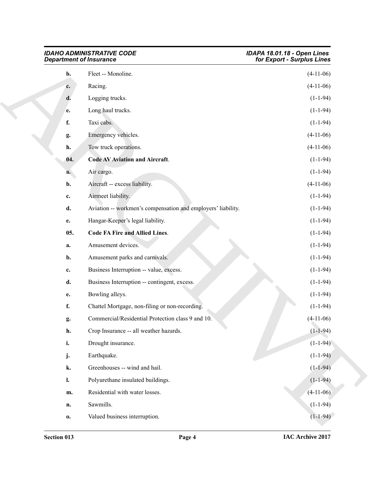<span id="page-3-1"></span><span id="page-3-0"></span>

| <b>IDAHO ADMINISTRATIVE CODE</b><br><b>Department of Insurance</b> |                                                              | IDAPA 18.01.18 - Open Lines<br>for Export - Surplus Lines |
|--------------------------------------------------------------------|--------------------------------------------------------------|-----------------------------------------------------------|
| b.                                                                 | Fleet -- Monoline.                                           | $(4-11-06)$                                               |
| c.                                                                 | Racing.                                                      | $(4-11-06)$                                               |
| d.                                                                 | Logging trucks.                                              | $(1-1-94)$                                                |
| e.                                                                 | Long haul trucks.                                            | $(1-1-94)$                                                |
| f.                                                                 | Taxi cabs.                                                   | $(1-1-94)$                                                |
| g.                                                                 | Emergency vehicles.                                          | $(4-11-06)$                                               |
| h.                                                                 | Tow truck operations.                                        | $(4-11-06)$                                               |
| 04.                                                                | <b>Code AV Aviation and Aircraft.</b>                        | $(1-1-94)$                                                |
| a.                                                                 | Air cargo.                                                   | $(1-1-94)$                                                |
| b.                                                                 | Aircraft -- excess liability.                                | $(4-11-06)$                                               |
| $\mathbf{c}$ .                                                     | Airmeet liability.                                           | $(1-1-94)$                                                |
| d.                                                                 | Aviation -- workmen's compensation and employers' liability. | $(1-1-94)$                                                |
| e.                                                                 | Hangar-Keeper's legal liability.                             | $(1-1-94)$                                                |
| 05.                                                                | <b>Code FA Fire and Allied Lines.</b>                        | $(1-1-94)$                                                |
| a.                                                                 | Amusement devices.                                           | $(1-1-94)$                                                |
| b.                                                                 | Amusement parks and carnivals.                               | $(1-1-94)$                                                |
| c.                                                                 | Business Interruption -- value, excess.                      | $(1-1-94)$                                                |
| d.                                                                 | Business Interruption -- contingent, excess.                 | $(1-1-94)$                                                |
| e.                                                                 | Bowling alleys.                                              | $(1-1-94)$                                                |
| f.                                                                 | Chattel Mortgage, non-filing or non-recording.               | $(1-1-94)$                                                |
| g.                                                                 | Commercial/Residential Protection class 9 and 10.            | $(4-11-06)$                                               |
| h.                                                                 | Crop Insurance -- all weather hazards.                       | $(1-1-94)$                                                |
| i.                                                                 | Drought insurance.                                           | $(1-1-94)$                                                |
| j.                                                                 | Earthquake.                                                  | $(1-1-94)$                                                |
| k.                                                                 | Greenhouses -- wind and hail.                                | $(1-1-94)$                                                |
| 1.                                                                 | Polyurethane insulated buildings.                            | $(1-1-94)$                                                |
| m.                                                                 | Residential with water losses.                               | $(4-11-06)$                                               |
| n.                                                                 | Sawmills.                                                    | $(1-1-94)$                                                |
| 0.                                                                 | Valued business interruption.                                | $(1-1-94)$                                                |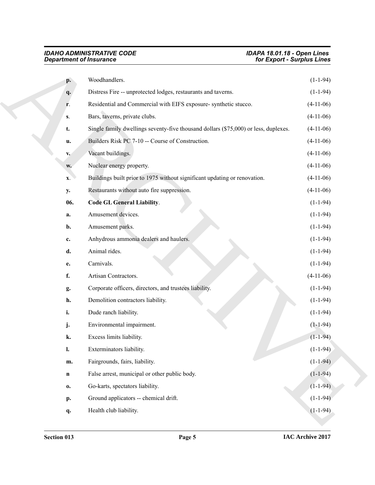<span id="page-4-0"></span>

|                | <b>Department of Insurance</b>                                                      | for Export - Surplus Lines |
|----------------|-------------------------------------------------------------------------------------|----------------------------|
| p.             | Woodhandlers.                                                                       | $(1-1-94)$                 |
| q.             | Distress Fire -- unprotected lodges, restaurants and taverns.                       | $(1-1-94)$                 |
| r.             | Residential and Commercial with EIFS exposure-synthetic stucco.                     | $(4-11-06)$                |
| S.             | Bars, taverns, private clubs.                                                       | $(4-11-06)$                |
| t.             | Single family dwellings seventy-five thousand dollars (\$75,000) or less, duplexes. | $(4-11-06)$                |
| u.             | Builders Risk PC 7-10 -- Course of Construction.                                    | $(4-11-06)$                |
| $V_{\bullet}$  | Vacant buildings.                                                                   | $(4-11-06)$                |
| W.             | Nuclear energy property.                                                            | $(4-11-06)$                |
| $\mathbf{X}$ . | Buildings built prior to 1975 without significant updating or renovation.           | $(4-11-06)$                |
| y.             | Restaurants without auto fire suppression.                                          | $(4-11-06)$                |
| 06.            | <b>Code GL General Liability.</b>                                                   | $(1-1-94)$                 |
| a.             | Amusement devices.                                                                  | $(1-1-94)$                 |
| b.             | Amusement parks.                                                                    | $(1-1-94)$                 |
| c.             | Anhydrous ammonia dealers and haulers.                                              | $(1-1-94)$                 |
| d.             | Animal rides.                                                                       | $(1-1-94)$                 |
| e.             | Carnivals.                                                                          | $(1-1-94)$                 |
| f.             | Artisan Contractors.                                                                | $(4-11-06)$                |
| g.             | Corporate officers, directors, and trustees liability.                              | $(1-1-94)$                 |
| h.             | Demolition contractors liability.                                                   | $(1-1-94)$                 |
| i.             | Dude ranch liability.                                                               | $(1-1-94)$                 |
| j.             | Environmental impairment.                                                           | $(1-1-94)$                 |
| k.             | Excess limits liability.                                                            | $(1 - 1 - 94)$             |
| $\mathbf{l}$ . | Exterminators liability.                                                            | $(1-1-94)$                 |
| m.             | Fairgrounds, fairs, liability.                                                      | $(1-1-94)$                 |
| $\mathbf n$    | False arrest, municipal or other public body.                                       | $(1-1-94)$                 |
| 0.             | Go-karts, spectators liability.                                                     | $(1-1-94)$                 |
| p.             | Ground applicators -- chemical drift.                                               | $(1-1-94)$                 |
|                |                                                                                     |                            |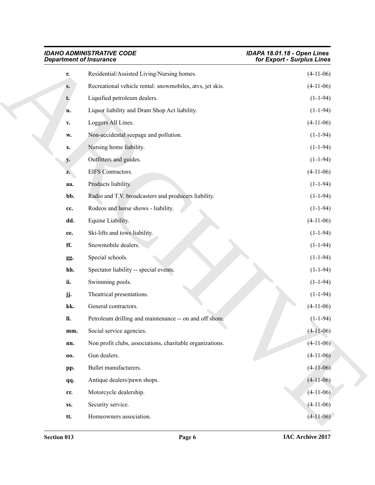| <b>IDAHO ADMINISTRATIVE CODE</b><br><b>Department of Insurance</b> |                                                           | IDAPA 18.01.18 - Open Lines<br>for Export - Surplus Lines |
|--------------------------------------------------------------------|-----------------------------------------------------------|-----------------------------------------------------------|
| r.                                                                 | Residential/Assisted Living/Nursing homes.                | $(4-11-06)$                                               |
| $S_{\bullet}$                                                      | Recreational vehicle rental: snowmobiles, atvs, jet skis. | $(4-11-06)$                                               |
| t.                                                                 | Liquified petroleum dealers.                              | $(1-1-94)$                                                |
| u.                                                                 | Liquor liability and Dram Shop Act liability.             | $(1-1-94)$                                                |
| $\mathbf{V}_\bullet$                                               | Loggers All Lines.                                        | $(4-11-06)$                                               |
| w.                                                                 | Non-accidental seepage and pollution.                     | $(1-1-94)$                                                |
| X.                                                                 | Nursing home liability.                                   | $(1-1-94)$                                                |
| y.                                                                 | Outfitters and guides.                                    | $(1-1-94)$                                                |
| Z.                                                                 | EIFS Contractors.                                         | $(4-11-06)$                                               |
| aa.                                                                | Products liability.                                       | $(1-1-94)$                                                |
| bb.                                                                | Radio and T.V. broadcasters and producers liability.      | $(1-1-94)$                                                |
| cc.                                                                | Rodeos and horse shows - liability.                       | $(1-1-94)$                                                |
| dd.                                                                | Equine Liability.                                         | $(4-11-06)$                                               |
| ee.                                                                | Ski-lifts and tows liability.                             | $(1-1-94)$                                                |
| ff.                                                                | Snowmobile dealers.                                       | $(1-1-94)$                                                |
| gg.                                                                | Special schools.                                          | $(1-1-94)$                                                |
| hh.                                                                | Spectator liability -- special events.                    | $(1-1-94)$                                                |
| ii.                                                                | Swimming pools.                                           | $(1-1-94)$                                                |
| jj.                                                                | Theatrical presentations.                                 | $(1-1-94)$                                                |
| kk.                                                                | General contractors.                                      | $(4-11-06)$                                               |
| <b>II.</b>                                                         | Petroleum drilling and maintenance -- on and off shore.   | $(1-1-94)$                                                |
| mm.                                                                | Social service agencies.                                  | $(4-11-06)$                                               |
| nn.                                                                | Non profit clubs, associations, charitable organizations. | $(4-11-06)$                                               |
| 00.                                                                | Gun dealers.                                              | $(4-11-06)$                                               |
| pp.                                                                | Bullet manufacturers.                                     | $(4-11-06)$                                               |
| qq.                                                                | Antique dealers/pawn shops.                               | $(4-11-06)$                                               |
| rr.                                                                | Motorcycle dealership.                                    | $(4-11-06)$                                               |
| SS.                                                                | Security service.                                         | $(4-11-06)$                                               |
| tt.                                                                | Homeowners association.                                   | $(4-11-06)$                                               |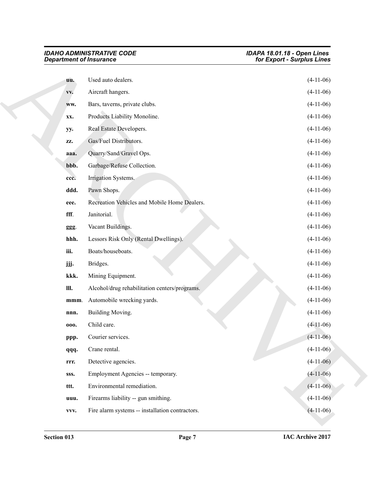| <b>Department of Insurance</b> | <b>IDAHO ADMINISTRATIVE CODE</b>                | IDAPA 18.01.18 - Open Lines<br>for Export - Surplus Lines |
|--------------------------------|-------------------------------------------------|-----------------------------------------------------------|
| uu.                            | Used auto dealers.                              | $(4-11-06)$                                               |
| VV.                            | Aircraft hangers.                               | $(4-11-06)$                                               |
| WW.                            | Bars, taverns, private clubs.                   | $(4-11-06)$                                               |
| XX.                            | Products Liability Monoline.                    | $(4-11-06)$                                               |
| yy.                            | Real Estate Developers.                         | $(4-11-06)$                                               |
| ZZ.                            | Gas/Fuel Distributors.                          | $(4-11-06)$                                               |
| aaa.                           | Quarry/Sand/Gravel Ops.                         | $(4-11-06)$                                               |
| bbb.                           | Garbage/Refuse Collection.                      | $(4-11-06)$                                               |
| ccc.                           | Irrigation Systems.                             | $(4-11-06)$                                               |
| ddd.                           | Pawn Shops.                                     | $(4-11-06)$                                               |
| eee.                           | Recreation Vehicles and Mobile Home Dealers.    | $(4-11-06)$                                               |
| fff.                           | Janitorial.                                     | $(4-11-06)$                                               |
| ggg.                           | Vacant Buildings.                               | $(4-11-06)$                                               |
| hhh.                           | Lessors Risk Only (Rental Dwellings).           | $(4-11-06)$                                               |
| iii.                           | Boats/houseboats.                               | $(4-11-06)$                                               |
| jjj.                           | Bridges.                                        | $(4-11-06)$                                               |
| kkk.                           | Mining Equipment.                               | $(4-11-06)$                                               |
| III.                           | Alcohol/drug rehabilitation centers/programs.   | $(4-11-06)$                                               |
| mmm.                           | Automobile wrecking yards.                      | $(4-11-06)$                                               |
| nnn.                           | Building Moving.                                | $(4-11-06)$                                               |
| 000.                           | Child care.                                     | $(4-11-06)$                                               |
| ppp.                           | Courier services.                               | $(4-11-06)$                                               |
| qqq.                           | Crane rental.                                   | $(4-11-06)$                                               |
| rrr.                           | Detective agencies.                             | $(4-11-06)$                                               |
| SSS.                           | Employment Agencies -- temporary.               | $(4-11-06)$                                               |
| ttt.                           | Environmental remediation.                      | $(4-11-06)$                                               |
| uuu.                           | Firearms liability -- gun smithing.             | $(4-11-06)$                                               |
| VVV.                           | Fire alarm systems -- installation contractors. | $(4-11-06)$                                               |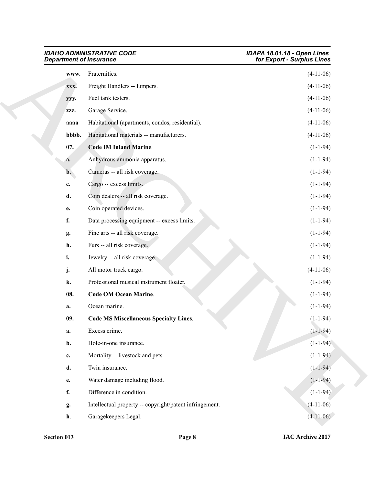<span id="page-7-2"></span><span id="page-7-1"></span><span id="page-7-0"></span>

| <b>IDAHO ADMINISTRATIVE CODE</b><br><b>Department of Insurance</b> |                                                         | IDAPA 18.01.18 - Open Lines<br>for Export - Surplus Lines |
|--------------------------------------------------------------------|---------------------------------------------------------|-----------------------------------------------------------|
| WWW.                                                               | Fraternities.                                           | $(4-11-06)$                                               |
| XXX.                                                               | Freight Handlers -- lumpers.                            | $(4-11-06)$                                               |
| yyy.                                                               | Fuel tank testers.                                      | $(4-11-06)$                                               |
| ZZZ.                                                               | Garage Service.                                         | $(4-11-06)$                                               |
| aaaa                                                               | Habitational (apartments, condos, residential).         | $(4-11-06)$                                               |
| bbbb.                                                              | Habitational materials -- manufacturers.                | $(4-11-06)$                                               |
| 07.                                                                | <b>Code IM Inland Marine.</b>                           | $(1-1-94)$                                                |
| a.                                                                 | Anhydrous ammonia apparatus.                            | $(1-1-94)$                                                |
| $\mathbf{b}$ .                                                     | Cameras -- all risk coverage.                           | $(1-1-94)$                                                |
| c.                                                                 | Cargo -- excess limits.                                 | $(1-1-94)$                                                |
| d.                                                                 | Coin dealers -- all risk coverage.                      | $(1-1-94)$                                                |
| e.                                                                 | Coin operated devices.                                  | $(1-1-94)$                                                |
| f.                                                                 | Data processing equipment -- excess limits.             | $(1-1-94)$                                                |
| g.                                                                 | Fine arts -- all risk coverage.                         | $(1-1-94)$                                                |
| h.                                                                 | Furs -- all risk coverage.                              | $(1-1-94)$                                                |
| i.                                                                 | Jewelry -- all risk coverage.                           | $(1-1-94)$                                                |
| j.                                                                 | All motor truck cargo.                                  | $(4-11-06)$                                               |
| k.                                                                 | Professional musical instrument floater.                | $(1-1-94)$                                                |
| 08.                                                                | <b>Code OM Ocean Marine.</b>                            | $(1-1-94)$                                                |
| a.                                                                 | Ocean marine.                                           | $(1-1-94)$                                                |
| 09.                                                                | <b>Code MS Miscellaneous Specialty Lines.</b>           | $(1-1-94)$                                                |
| a.                                                                 | Excess crime.                                           | $(1-1-94)$                                                |
| b.                                                                 | Hole-in-one insurance.                                  | $(1-1-94)$                                                |
| c.                                                                 | Mortality -- livestock and pets.                        | $(1-1-94)$                                                |
| d.                                                                 | Twin insurance.                                         | $(1-1-94)$                                                |
| e.                                                                 | Water damage including flood.                           | $(1-1-94)$                                                |
| f.                                                                 | Difference in condition.                                | $(1-1-94)$                                                |
| g.                                                                 | Intellectual property -- copyright/patent infringement. | $(4-11-06)$                                               |
| $\mathbf{h}$ .                                                     | Garagekeepers Legal.                                    | $(4-11-06)$                                               |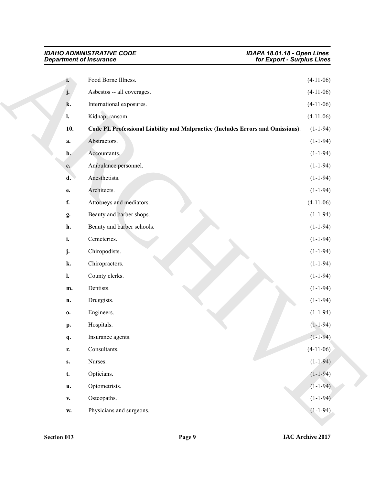<span id="page-8-0"></span>

| <b>Department of Insurance</b> |                                                                                 | for Export - Surplus Lines |
|--------------------------------|---------------------------------------------------------------------------------|----------------------------|
| i.                             | Food Borne Illness.                                                             | $(4-11-06)$                |
| j.                             | Asbestos -- all coverages.                                                      | $(4-11-06)$                |
| k.                             | International exposures.                                                        | $(4-11-06)$                |
| l.                             | Kidnap, ransom.                                                                 | $(4-11-06)$                |
| 10.                            | Code PL Professional Liability and Malpractice (Includes Errors and Omissions). | $(1-1-94)$                 |
| a.                             | Abstractors.                                                                    | $(1-1-94)$                 |
| $b$ .                          | Accountants.                                                                    | $(1-1-94)$                 |
| c.                             | Ambulance personnel.                                                            | $(1-1-94)$                 |
| d.                             | Anesthetists.                                                                   | $(1-1-94)$                 |
| $\mathbf{e}$ .                 | Architects.                                                                     | $(1-1-94)$                 |
| f.                             | Attorneys and mediators.                                                        | $(4-11-06)$                |
| g.                             | Beauty and barber shops.                                                        | $(1-1-94)$                 |
| h.                             | Beauty and barber schools.                                                      | $(1-1-94)$                 |
| i.                             | Cemeteries.                                                                     | $(1-1-94)$                 |
| j.                             | Chiropodists.                                                                   | $(1-1-94)$                 |
| k.                             | Chiropractors.                                                                  | $(1-1-94)$                 |
| $\mathbf{l}$ .                 | County clerks.                                                                  | $(1-1-94)$                 |
| m.                             | Dentists.                                                                       | $(1-1-94)$                 |
| n.                             | Druggists.                                                                      | $(1-1-94)$                 |
| $\mathbf{0}$                   | Engineers.                                                                      | $(1-1-94)$                 |
| p.                             | Hospitals.                                                                      | $(1-1-94)$                 |
| q.                             | Insurance agents.                                                               | $(1 - 1 - 94)$             |
| r.                             | Consultants.                                                                    | $(4-11-06)$                |
| $\mathbf{s}$ .                 | Nurses.                                                                         | $(1-1-94)$                 |
| t.                             | Opticians.                                                                      | $(1-1-94)$                 |
| u.                             | Optometrists.                                                                   | $(1-1-94)$                 |
| $\mathbf{V}_\bullet$           | Osteopaths.                                                                     | $(1-1-94)$                 |
| $\mathbf{W}_{\bullet}$         | Physicians and surgeons.                                                        | $(1-1-94)$                 |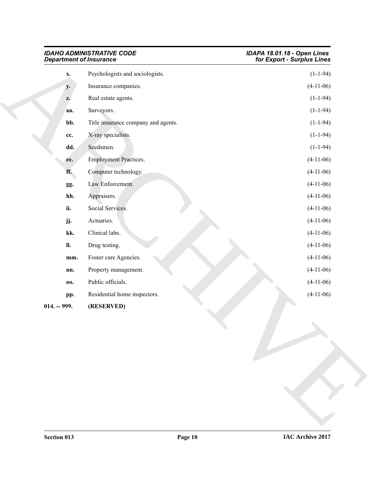<span id="page-9-0"></span>

| <b>IDAHO ADMINISTRATIVE CODE</b><br><b>Department of Insurance</b> |                                     | <b>IDAPA 18.01.18 - Open Lines<br/>for Export - Surplus Lines</b> |
|--------------------------------------------------------------------|-------------------------------------|-------------------------------------------------------------------|
| $\mathbf{x}$ .                                                     | Psychologists and sociologists.     | $(1-1-94)$                                                        |
| $y_{\bullet}$                                                      | Insurance companies.                | $(4-11-06)$                                                       |
| z.                                                                 | Real estate agents.                 | $(1-1-94)$                                                        |
| aa.                                                                | Surveyors.                          | $(1-1-94)$                                                        |
| bb.                                                                | Title insurance company and agents. | $(1-1-94)$                                                        |
| cc.                                                                | X-ray specialists.                  | $(1-1-94)$                                                        |
| dd.                                                                | Seedsmen.                           | $(1-1-94)$                                                        |
| ee.                                                                | <b>Employment Practices.</b>        | $(4-11-06)$                                                       |
| ff.                                                                | Computer technology.                | $(4-11-06)$                                                       |
| gg.                                                                | Law Enforcement.                    | $(4-11-06)$                                                       |
| hh.                                                                | Appraisers.                         | $(4-11-06)$                                                       |
| ii.                                                                | Social Services.                    | $(4-11-06)$                                                       |
| jj.                                                                | Actuaries.                          | $(4-11-06)$                                                       |
| kk.                                                                | Clinical labs.                      | $(4-11-06)$                                                       |
| <b>II.</b>                                                         | Drug testing.                       | $(4-11-06)$                                                       |
| mm.                                                                | Foster care Agencies.               | $(4-11-06)$                                                       |
| nn.                                                                | Property management.                | $(4-11-06)$                                                       |
| 00.                                                                | Public officials.                   | $(4-11-06)$                                                       |
| pp.                                                                | Residential home inspectors.        | $(4-11-06)$                                                       |
| $014. - 999.$                                                      | (RESERVED)                          |                                                                   |